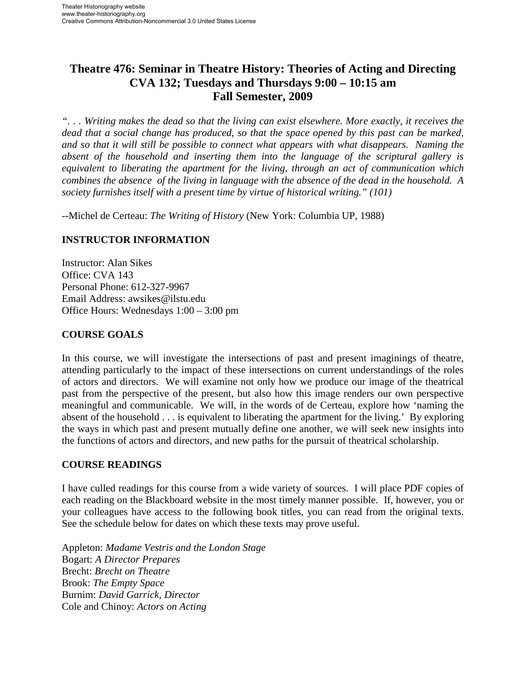# **Theatre 476: Seminar in Theatre History: Theories of Acting and Directing CVA 132; Tuesdays and Thursdays 9:00 – 10:15 am Fall Semester, 2009**

*". . . Writing makes the dead so that the living can exist elsewhere. More exactly, it receives the dead that a social change has produced, so that the space opened by this past can be marked, and so that it will still be possible to connect what appears with what disappears. Naming the absent of the household and inserting them into the language of the scriptural gallery is equivalent to liberating the apartment for the living, through an act of communication which combines the absence of the living in language with the absence of the dead in the household. A society furnishes itself with a present time by virtue of historical writing." (101)* 

--Michel de Certeau: *The Writing of History* (New York: Columbia UP, 1988)

### **INSTRUCTOR INFORMATION**

Instructor: Alan Sikes Office: CVA 143 Personal Phone: 612-327-9967 Email Address: awsikes@ilstu.edu Office Hours: Wednesdays 1:00 – 3:00 pm

### **COURSE GOALS**

In this course, we will investigate the intersections of past and present imaginings of theatre, attending particularly to the impact of these intersections on current understandings of the roles of actors and directors. We will examine not only how we produce our image of the theatrical past from the perspective of the present, but also how this image renders our own perspective meaningful and communicable. We will, in the words of de Certeau, explore how 'naming the absent of the household . . . is equivalent to liberating the apartment for the living.' By exploring the ways in which past and present mutually define one another, we will seek new insights into the functions of actors and directors, and new paths for the pursuit of theatrical scholarship.

### **COURSE READINGS**

I have culled readings for this course from a wide variety of sources. I will place PDF copies of each reading on the Blackboard website in the most timely manner possible. If, however, you or your colleagues have access to the following book titles, you can read from the original texts. See the schedule below for dates on which these texts may prove useful.

Appleton: *Madame Vestris and the London Stage*  Bogart: *A Director Prepares* Brecht: *Brecht on Theatre* Brook: *The Empty Space* Burnim: *David Garrick, Director* Cole and Chinoy: *Actors on Acting*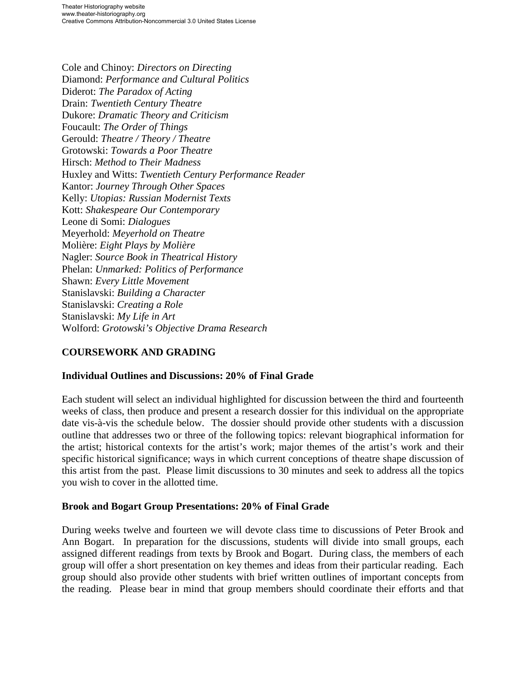Cole and Chinoy: *Directors on Directing* Diamond: *Performance and Cultural Politics* Diderot: *The Paradox of Acting* Drain: *Twentieth Century Theatre* Dukore: *Dramatic Theory and Criticism* Foucault: *The Order of Things* Gerould: *Theatre / Theory / Theatre* Grotowski: *Towards a Poor Theatre* Hirsch: *Method to Their Madness* Huxley and Witts: *Twentieth Century Performance Reader* Kantor: *Journey Through Other Spaces* Kelly: *Utopias: Russian Modernist Texts* Kott: *Shakespeare Our Contemporary* Leone di Somi: *Dialogues* Meyerhold: *Meyerhold on Theatre* Molière: *Eight Plays by Molière* Nagler: *Source Book in Theatrical History* Phelan: *Unmarked: Politics of Performance* Shawn: *Every Little Movement* Stanislavski: *Building a Character* Stanislavski: *Creating a Role* Stanislavski: *My Life in Art* Wolford: *Grotowski's Objective Drama Research*

### **COURSEWORK AND GRADING**

### **Individual Outlines and Discussions: 20% of Final Grade**

Each student will select an individual highlighted for discussion between the third and fourteenth weeks of class, then produce and present a research dossier for this individual on the appropriate date vis-à-vis the schedule below. The dossier should provide other students with a discussion outline that addresses two or three of the following topics: relevant biographical information for the artist; historical contexts for the artist's work; major themes of the artist's work and their specific historical significance; ways in which current conceptions of theatre shape discussion of this artist from the past. Please limit discussions to 30 minutes and seek to address all the topics you wish to cover in the allotted time.

#### **Brook and Bogart Group Presentations: 20% of Final Grade**

During weeks twelve and fourteen we will devote class time to discussions of Peter Brook and Ann Bogart. In preparation for the discussions, students will divide into small groups, each assigned different readings from texts by Brook and Bogart. During class, the members of each group will offer a short presentation on key themes and ideas from their particular reading. Each group should also provide other students with brief written outlines of important concepts from the reading. Please bear in mind that group members should coordinate their efforts and that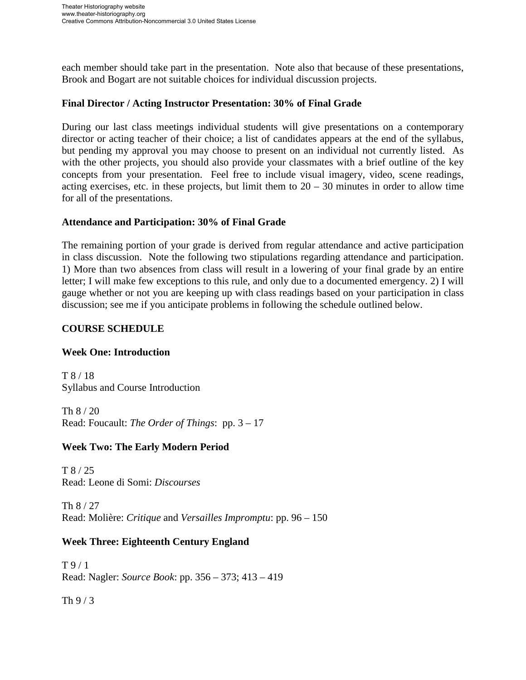each member should take part in the presentation. Note also that because of these presentations, Brook and Bogart are not suitable choices for individual discussion projects.

#### **Final Director / Acting Instructor Presentation: 30% of Final Grade**

During our last class meetings individual students will give presentations on a contemporary director or acting teacher of their choice; a list of candidates appears at the end of the syllabus, but pending my approval you may choose to present on an individual not currently listed. As with the other projects, you should also provide your classmates with a brief outline of the key concepts from your presentation. Feel free to include visual imagery, video, scene readings, acting exercises, etc. in these projects, but limit them to  $20 - 30$  minutes in order to allow time for all of the presentations.

#### **Attendance and Participation: 30% of Final Grade**

The remaining portion of your grade is derived from regular attendance and active participation in class discussion. Note the following two stipulations regarding attendance and participation. 1) More than two absences from class will result in a lowering of your final grade by an entire letter; I will make few exceptions to this rule, and only due to a documented emergency. 2) I will gauge whether or not you are keeping up with class readings based on your participation in class discussion; see me if you anticipate problems in following the schedule outlined below.

#### **COURSE SCHEDULE**

### **Week One: Introduction**

T 8 / 18 Syllabus and Course Introduction

Th 8 / 20 Read: Foucault: *The Order of Things*: pp. 3 – 17

### **Week Two: The Early Modern Period**

T 8 / 25 Read: Leone di Somi: *Discourses*

Th 8 / 27 Read: Molière: *Critique* and *Versailles Impromptu*: pp. 96 – 150

### **Week Three: Eighteenth Century England**

T 9 / 1 Read: Nagler: *Source Book*: pp. 356 – 373; 413 – 419

Th 9 / 3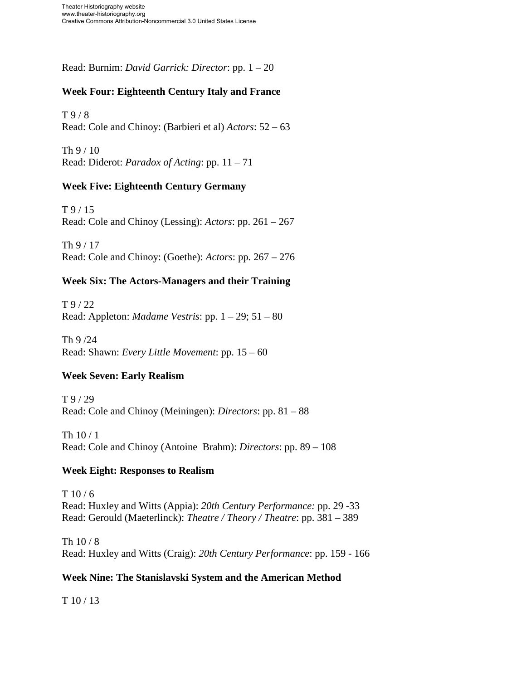Read: Burnim: *David Garrick: Director*: pp. 1 – 20

# **Week Four: Eighteenth Century Italy and France**

T 9 / 8 Read: Cole and Chinoy: (Barbieri et al) *Actors*: 52 – 63

Th 9 / 10 Read: Diderot: *Paradox of Acting*: pp. 11 – 71

### **Week Five: Eighteenth Century Germany**

T 9 / 15 Read: Cole and Chinoy (Lessing): *Actors*: pp. 261 – 267

Th 9 / 17 Read: Cole and Chinoy: (Goethe): *Actors*: pp. 267 – 276

# **Week Six: The Actors-Managers and their Training**

T 9 / 22 Read: Appleton: *Madame Vestris*: pp. 1 – 29; 51 – 80

Th 9 /24 Read: Shawn: *Every Little Movement*: pp. 15 – 60

# **Week Seven: Early Realism**

T 9 / 29 Read: Cole and Chinoy (Meiningen): *Directors*: pp. 81 – 88

Th 10 / 1 Read: Cole and Chinoy (Antoine Brahm): *Directors*: pp. 89 – 108

### **Week Eight: Responses to Realism**

 $T 10 / 6$ Read: Huxley and Witts (Appia): *20th Century Performance:* pp. 29 -33 Read: Gerould (Maeterlinck): *Theatre / Theory / Theatre*: pp. 381 – 389

Th 10 / 8 Read: Huxley and Witts (Craig): *20th Century Performance*: pp. 159 - 166

### **Week Nine: The Stanislavski System and the American Method**

T 10 / 13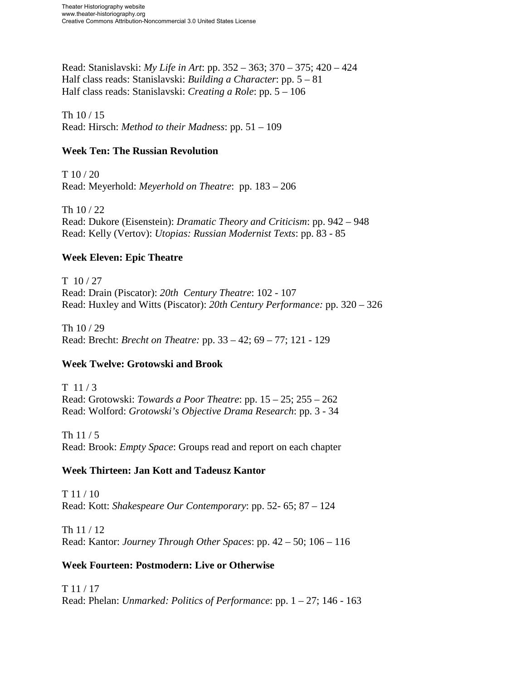Read: Stanislavski: *My Life in Art*: pp. 352 – 363; 370 – 375; 420 – 424 Half class reads: Stanislavski: *Building a Character*: pp. 5 – 81 Half class reads: Stanislavski: *Creating a Role*: pp. 5 – 106

Th 10 / 15 Read: Hirsch: *Method to their Madness*: pp. 51 – 109

### **Week Ten: The Russian Revolution**

 $T 10 / 20$ Read: Meyerhold: *Meyerhold on Theatre*: pp. 183 – 206

Th 10 / 22 Read: Dukore (Eisenstein): *Dramatic Theory and Criticism*: pp. 942 – 948 Read: Kelly (Vertov): *Utopias: Russian Modernist Texts*: pp. 83 - 85

# **Week Eleven: Epic Theatre**

T 10 / 27 Read: Drain (Piscator): *20th Century Theatre*: 102 - 107 Read: Huxley and Witts (Piscator): *20th Century Performance:* pp. 320 – 326

Th 10 / 29 Read: Brecht: *Brecht on Theatre:* pp. 33 – 42; 69 – 77; 121 - 129

# **Week Twelve: Grotowski and Brook**

T 11 / 3 Read: Grotowski: *Towards a Poor Theatre*: pp. 15 – 25; 255 – 262 Read: Wolford: *Grotowski's Objective Drama Research*: pp. 3 - 34

Th 11 / 5 Read: Brook: *Empty Space*: Groups read and report on each chapter

# **Week Thirteen: Jan Kott and Tadeusz Kantor**

 $T 11 / 10$ Read: Kott: *Shakespeare Our Contemporary*: pp. 52- 65; 87 – 124

Th 11 / 12 Read: Kantor: *Journey Through Other Spaces*: pp. 42 – 50; 106 – 116

# **Week Fourteen: Postmodern: Live or Otherwise**

T 11 / 17

Read: Phelan: *Unmarked: Politics of Performance*: pp. 1 – 27; 146 - 163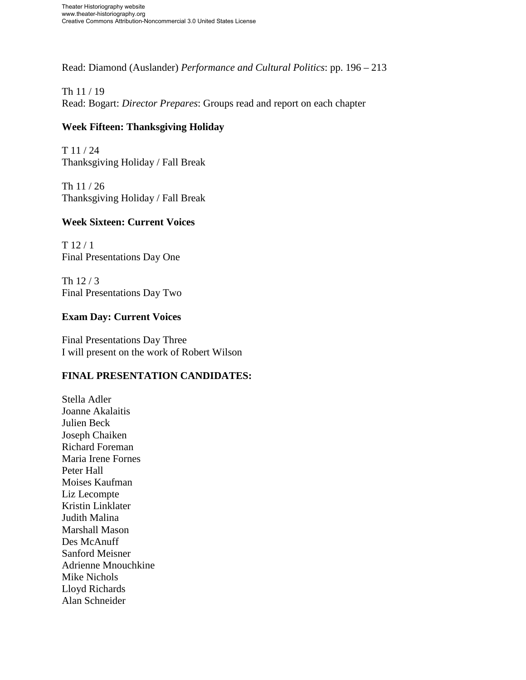Read: Diamond (Auslander) *Performance and Cultural Politics*: pp. 196 – 213

### Th 11 / 19

Read: Bogart: *Director Prepares*: Groups read and report on each chapter

#### **Week Fifteen: Thanksgiving Holiday**

T 11 / 24 Thanksgiving Holiday / Fall Break

Th 11 / 26 Thanksgiving Holiday / Fall Break

#### **Week Sixteen: Current Voices**

T 12 / 1 Final Presentations Day One

Th 12 / 3 Final Presentations Day Two

#### **Exam Day: Current Voices**

Final Presentations Day Three I will present on the work of Robert Wilson

### **FINAL PRESENTATION CANDIDATES:**

Stella Adler Joanne Akalaitis Julien Beck Joseph Chaiken Richard Foreman Maria Irene Fornes Peter Hall Moises Kaufman Liz Lecompte Kristin Linklater Judith Malina Marshall Mason Des McAnuff Sanford Meisner Adrienne Mnouchkine Mike Nichols Lloyd Richards Alan Schneider